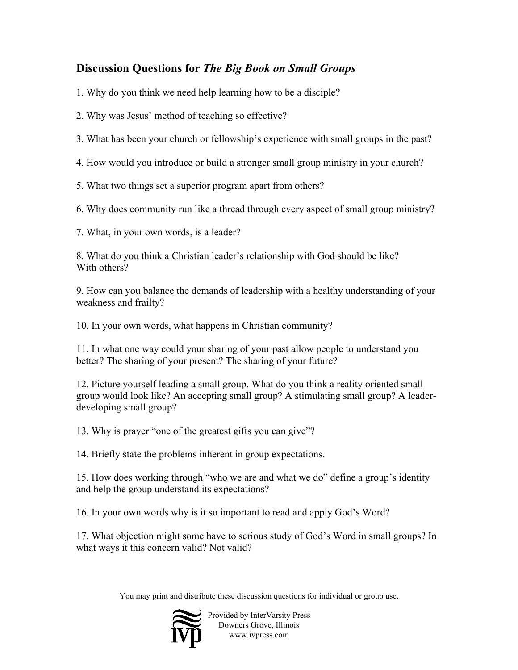## **Discussion Questions for** *The Big Book on Small Groups*

1. Why do you think we need help learning how to be a disciple?

2. Why was Jesus' method of teaching so effective?

3. What has been your church or fellowship's experience with small groups in the past?

4. How would you introduce or build a stronger small group ministry in your church?

5. What two things set a superior program apart from others?

6. Why does community run like a thread through every aspect of small group ministry?

7. What, in your own words, is a leader?

8. What do you think a Christian leader's relationship with God should be like? With others?

9. How can you balance the demands of leadership with a healthy understanding of your weakness and frailty?

10. In your own words, what happens in Christian community?

11. In what one way could your sharing of your past allow people to understand you better? The sharing of your present? The sharing of your future?

12. Picture yourself leading a small group. What do you think a reality oriented small group would look like? An accepting small group? A stimulating small group? A leaderdeveloping small group?

13. Why is prayer "one of the greatest gifts you can give"?

14. Briefly state the problems inherent in group expectations.

15. How does working through "who we are and what we do" define a group's identity and help the group understand its expectations?

16. In your own words why is it so important to read and apply God's Word?

17. What objection might some have to serious study of God's Word in small groups? In what ways it this concern valid? Not valid?

You may print and distribute these discussion questions for individual or group use.



Provided by InterVarsity Press Downers Grove, Illinois www.ivpress.com